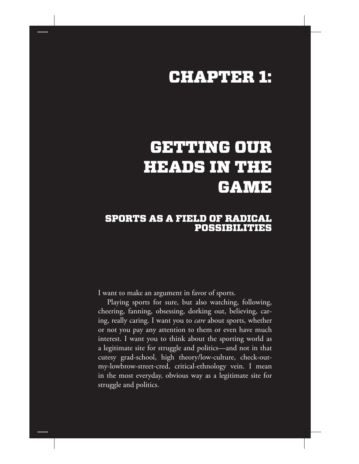## CHAPTER 1:

# GETTING OUR HEADS IN THE GAME

### SPORTS AS A FIELD OF RADICAL POSSIBILITIES

I want to make an argument in favor of sports.

Playing sports for sure, but also watching, following, cheering, fanning, obsessing, dorking out, believing, caring, really caring. I want you to *care* about sports, whether or not you pay any attention to them or even have much interest. I want you to think about the sporting world as a legitimate site for struggle and politics—and not in that cutesy grad-school, high theory/low-culture, check-outmy-lowbrow-street-cred, critical-ethnology vein. I mean in the most everyday, obvious way as a legitimate site for struggle and politics.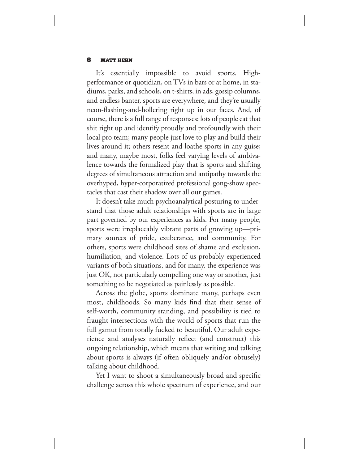#### 6 MATT HERN

It's essentially impossible to avoid sports. Highperformance or quotidian, on TVs in bars or at home, in stadiums, parks, and schools, on t-shirts, in ads, gossip columns, and endless banter, sports are everywhere, and they're usually neon-flashing-and-hollering right up in our faces. And, of course, there is a full range of responses: lots of people eat that shit right up and identify proudly and profoundly with their local pro team; many people just love to play and build their lives around it; others resent and loathe sports in any guise; and many, maybe most, folks feel varying levels of ambivalence towards the formalized play that is sports and shifting degrees of simultaneous attraction and antipathy towards the overhyped, hyper-corporatized professional gong-show spectacles that cast their shadow over all our games.

It doesn't take much psychoanalytical posturing to understand that those adult relationships with sports are in large part governed by our experiences as kids. For many people, sports were irreplaceably vibrant parts of growing up—primary sources of pride, exuberance, and community. For others, sports were childhood sites of shame and exclusion, humiliation, and violence. Lots of us probably experienced variants of both situations, and for many, the experience was just OK, not particularly compelling one way or another, just something to be negotiated as painlessly as possible.

Across the globe, sports dominate many, perhaps even most, childhoods. So many kids find that their sense of self-worth, community standing, and possibility is tied to fraught intersections with the world of sports that run the full gamut from totally fucked to beautiful. Our adult experience and analyses naturally reflect (and construct) this ongoing relationship, which means that writing and talking about sports is always (if often obliquely and/or obtusely) talking about childhood.

Yet I want to shoot a simultaneously broad and specific challenge across this whole spectrum of experience, and our